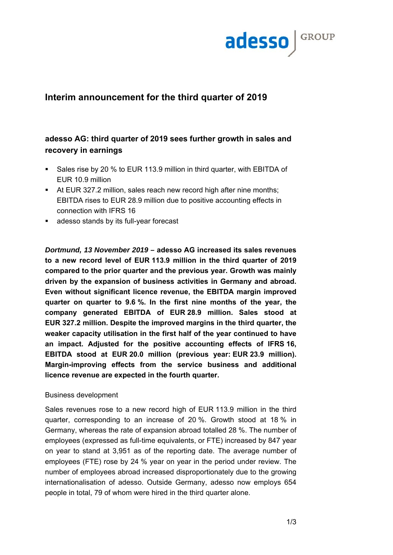

## **Interim announcement for the third quarter of 2019**

# **adesso AG: third quarter of 2019 sees further growth in sales and recovery in earnings**

- Sales rise by 20 % to EUR 113.9 million in third quarter, with EBITDA of EUR 10.9 million
- At EUR 327.2 million, sales reach new record high after nine months; EBITDA rises to EUR 28.9 million due to positive accounting effects in connection with IFRS 16
- adesso stands by its full-year forecast

*Dortmund, 13 November 2019 –* **adesso AG increased its sales revenues to a new record level of EUR 113.9 million in the third quarter of 2019 compared to the prior quarter and the previous year. Growth was mainly driven by the expansion of business activities in Germany and abroad. Even without significant licence revenue, the EBITDA margin improved quarter on quarter to 9.6 %. In the first nine months of the year, the company generated EBITDA of EUR 28.9 million. Sales stood at EUR 327.2 million. Despite the improved margins in the third quarter, the weaker capacity utilisation in the first half of the year continued to have an impact. Adjusted for the positive accounting effects of IFRS 16, EBITDA stood at EUR 20.0 million (previous year: EUR 23.9 million). Margin-improving effects from the service business and additional licence revenue are expected in the fourth quarter.** 

## Business development

Sales revenues rose to a new record high of EUR 113.9 million in the third quarter, corresponding to an increase of 20 %. Growth stood at 18 % in Germany, whereas the rate of expansion abroad totalled 28 %. The number of employees (expressed as full-time equivalents, or FTE) increased by 847 year on year to stand at 3,951 as of the reporting date. The average number of employees (FTE) rose by 24 % year on year in the period under review. The number of employees abroad increased disproportionately due to the growing internationalisation of adesso. Outside Germany, adesso now employs 654 people in total, 79 of whom were hired in the third quarter alone.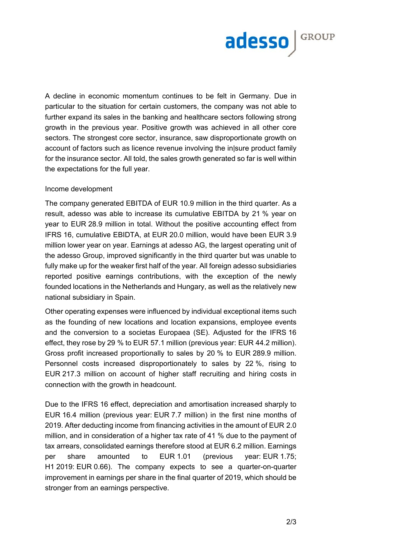

A decline in economic momentum continues to be felt in Germany. Due in particular to the situation for certain customers, the company was not able to further expand its sales in the banking and healthcare sectors following strong growth in the previous year. Positive growth was achieved in all other core sectors. The strongest core sector, insurance, saw disproportionate growth on account of factors such as licence revenue involving the in|sure product family for the insurance sector. All told, the sales growth generated so far is well within the expectations for the full year.

#### Income development

The company generated EBITDA of EUR 10.9 million in the third quarter. As a result, adesso was able to increase its cumulative EBITDA by 21 % year on year to EUR 28.9 million in total. Without the positive accounting effect from IFRS 16, cumulative EBIDTA, at EUR 20.0 million, would have been EUR 3.9 million lower year on year. Earnings at adesso AG, the largest operating unit of the adesso Group, improved significantly in the third quarter but was unable to fully make up for the weaker first half of the year. All foreign adesso subsidiaries reported positive earnings contributions, with the exception of the newly founded locations in the Netherlands and Hungary, as well as the relatively new national subsidiary in Spain.

Other operating expenses were influenced by individual exceptional items such as the founding of new locations and location expansions, employee events and the conversion to a societas Europaea (SE). Adjusted for the IFRS 16 effect, they rose by 29 % to EUR 57.1 million (previous year: EUR 44.2 million). Gross profit increased proportionally to sales by 20 % to EUR 289.9 million. Personnel costs increased disproportionately to sales by 22 %, rising to EUR 217.3 million on account of higher staff recruiting and hiring costs in connection with the growth in headcount.

Due to the IFRS 16 effect, depreciation and amortisation increased sharply to EUR 16.4 million (previous year: EUR 7.7 million) in the first nine months of 2019. After deducting income from financing activities in the amount of EUR 2.0 million, and in consideration of a higher tax rate of 41 % due to the payment of tax arrears, consolidated earnings therefore stood at EUR 6.2 million. Earnings per share amounted to EUR 1.01 (previous year: EUR 1.75; H1 2019: EUR 0.66). The company expects to see a quarter-on-quarter improvement in earnings per share in the final quarter of 2019, which should be stronger from an earnings perspective.